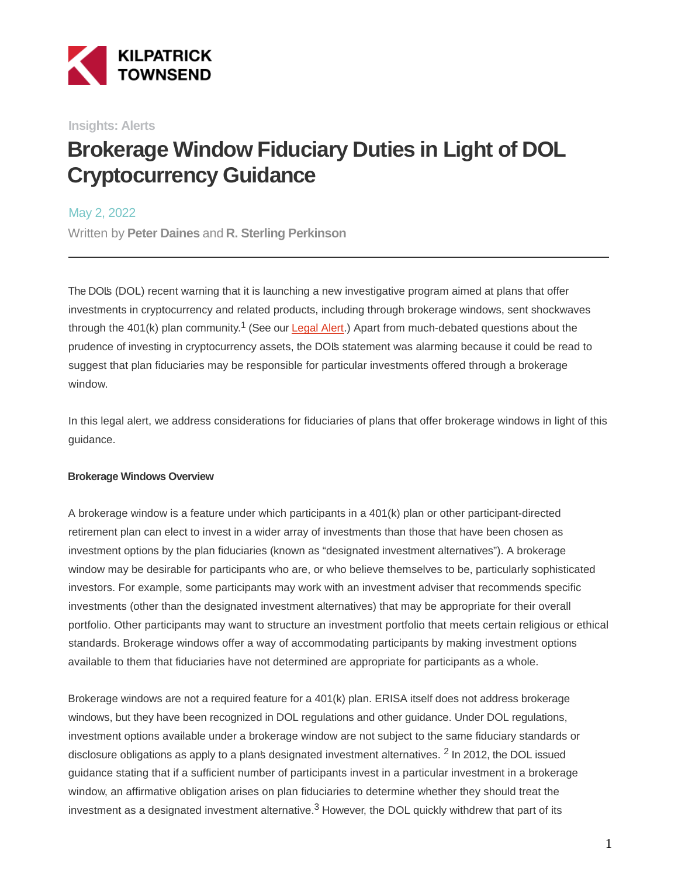

**Insights: Alerts**

# **Brokerage Window Fiduciary Duties in Light of DOL Cryptocurrency Guidance**

May 2, 2022

Written by **Peter Daines** and **R. Sterling Perkinson**

The DOL's (DOL) recent warning that it is launching a new investigative program aimed at plans that offer investments in cryptocurrency and related products, including through brokerage windows, sent shockwaves through the 401(k) plan community.<sup>1</sup> (See our **Legal Alert**.) Apart from much-debated questions about the prudence of investing in cryptocurrency assets, the DOL's statement was alarming because it could be read to suggest that plan fiduciaries may be responsible for particular investments offered through a brokerage window.

In this legal alert, we address considerations for fiduciaries of plans that offer brokerage windows in light of this guidance.

#### **Brokerage Windows Overview**

A brokerage window is a feature under which participants in a 401(k) plan or other participant-directed retirement plan can elect to invest in a wider array of investments than those that have been chosen as investment options by the plan fiduciaries (known as "designated investment alternatives"). A brokerage window may be desirable for participants who are, or who believe themselves to be, particularly sophisticated investors. For example, some participants may work with an investment adviser that recommends specific investments (other than the designated investment alternatives) that may be appropriate for their overall portfolio. Other participants may want to structure an investment portfolio that meets certain religious or ethical standards. Brokerage windows offer a way of accommodating participants by making investment options available to them that fiduciaries have not determined are appropriate for participants as a whole.

Brokerage windows are not a required feature for a 401(k) plan. ERISA itself does not address brokerage windows, but they have been recognized in DOL regulations and other guidance. Under DOL regulations, investment options available under a brokerage window are not subject to the same fiduciary standards or disclosure obligations as apply to a plan's designated investment alternatives. <sup>2</sup> In 2012, the DOL issued guidance stating that if a sufficient number of participants invest in a particular investment in a brokerage window, an affirmative obligation arises on plan fiduciaries to determine whether they should treat the investment as a designated investment alternative. $3$  However, the DOL quickly withdrew that part of its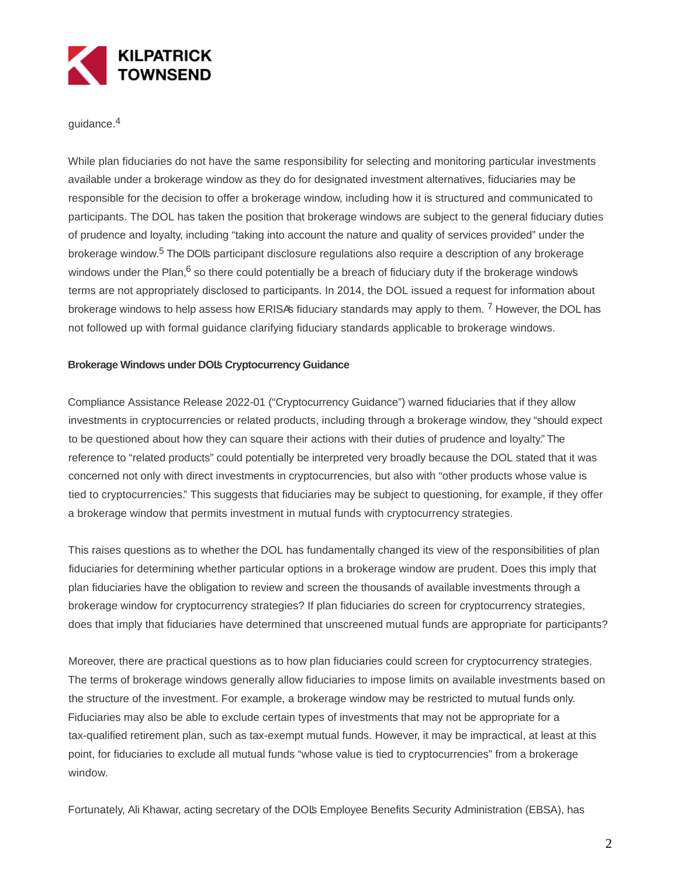

quidance.<sup>4</sup>

While plan fiduciaries do not have the same responsibility for selecting and monitoring particular investments available under a brokerage window as they do for designated investment alternatives, fiduciaries may be responsible for the decision to offer a brokerage window, including how it is structured and communicated to participants. The DOL has taken the position that brokerage windows are subject to the general fiduciary duties of prudence and loyalty, including "taking into account the nature and quality of services provided" under the brokerage window.<sup>5</sup> The DOL's participant disclosure regulations also require a description of any brokerage windows under the Plan, $6$  so there could potentially be a breach of fiduciary duty if the brokerage windows terms are not appropriately disclosed to participants. In 2014, the DOL issued a request for information about brokerage windows to help assess how ERISA's fiduciary standards may apply to them. <sup>7</sup> However, the DOL has not followed up with formal guidance clarifying fiduciary standards applicable to brokerage windows.

#### **Brokerage Windows under DOL's Cryptocurrency Guidance**

Compliance Assistance Release 2022-01 ("Cryptocurrency Guidance") warned fiduciaries that if they allow investments in cryptocurrencies or related products, including through a brokerage window, they "should expect to be questioned about how they can square their actions with their duties of prudence and loyalty." The reference to "related products" could potentially be interpreted very broadly because the DOL stated that it was concerned not only with direct investments in cryptocurrencies, but also with "other products whose value is tied to cryptocurrencies." This suggests that fiduciaries may be subject to questioning, for example, if they offer a brokerage window that permits investment in mutual funds with cryptocurrency strategies.

This raises questions as to whether the DOL has fundamentally changed its view of the responsibilities of plan fiduciaries for determining whether particular options in a brokerage window are prudent. Does this imply that plan fiduciaries have the obligation to review and screen the thousands of available investments through a brokerage window for cryptocurrency strategies? If plan fiduciaries do screen for cryptocurrency strategies, does that imply that fiduciaries have determined that unscreened mutual funds are appropriate for participants?

Moreover, there are practical questions as to how plan fiduciaries could screen for cryptocurrency strategies. The terms of brokerage windows generally allow fiduciaries to impose limits on available investments based on the structure of the investment. For example, a brokerage window may be restricted to mutual funds only. Fiduciaries may also be able to exclude certain types of investments that may not be appropriate for a tax-qualified retirement plan, such as tax-exempt mutual funds. However, it may be impractical, at least at this point, for fiduciaries to exclude all mutual funds "whose value is tied to cryptocurrencies" from a brokerage window.

Fortunately, Ali Khawar, acting secretary of the DOL's Employee Benefits Security Administration (EBSA), has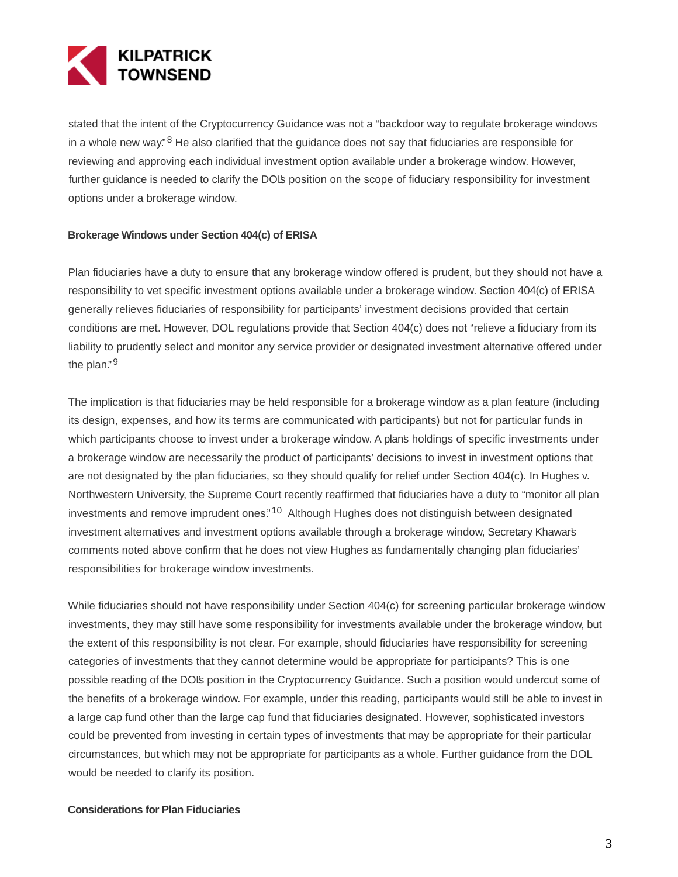

stated that the intent of the Cryptocurrency Guidance was not a "backdoor way to regulate brokerage windows in a whole new way.<sup>"8</sup> He also clarified that the guidance does not say that fiduciaries are responsible for reviewing and approving each individual investment option available under a brokerage window. However, further guidance is needed to clarify the DOL's position on the scope of fiduciary responsibility for investment options under a brokerage window.

#### **Brokerage Windows under Section 404(c) of ERISA**

Plan fiduciaries have a duty to ensure that any brokerage window offered is prudent, but they should not have a responsibility to vet specific investment options available under a brokerage window. Section 404(c) of ERISA generally relieves fiduciaries of responsibility for participants' investment decisions provided that certain conditions are met. However, DOL regulations provide that Section 404(c) does not "relieve a fiduciary from its liability to prudently select and monitor any service provider or designated investment alternative offered under the plan."<sup>9</sup>

The implication is that fiduciaries may be held responsible for a brokerage window as a plan feature (including its design, expenses, and how its terms are communicated with participants) but not for particular funds in which participants choose to invest under a brokerage window. A plan's holdings of specific investments under a brokerage window are necessarily the product of participants' decisions to invest in investment options that are not designated by the plan fiduciaries, so they should qualify for relief under Section 404(c). In Hughes v. Northwestern University, the Supreme Court recently reaffirmed that fiduciaries have a duty to "monitor all plan investments and remove imprudent ones."<sup>10</sup> Although Hughes does not distinguish between designated investment alternatives and investment options available through a brokerage window, Secretary Khawar's comments noted above confirm that he does not view Hughes as fundamentally changing plan fiduciaries' responsibilities for brokerage window investments.

While fiduciaries should not have responsibility under Section 404(c) for screening particular brokerage window investments, they may still have some responsibility for investments available under the brokerage window, but the extent of this responsibility is not clear. For example, should fiduciaries have responsibility for screening categories of investments that they cannot determine would be appropriate for participants? This is one possible reading of the DOL's position in the Cryptocurrency Guidance. Such a position would undercut some of the benefits of a brokerage window. For example, under this reading, participants would still be able to invest in a large cap fund other than the large cap fund that fiduciaries designated. However, sophisticated investors could be prevented from investing in certain types of investments that may be appropriate for their particular circumstances, but which may not be appropriate for participants as a whole. Further guidance from the DOL would be needed to clarify its position.

#### **Considerations for Plan Fiduciaries**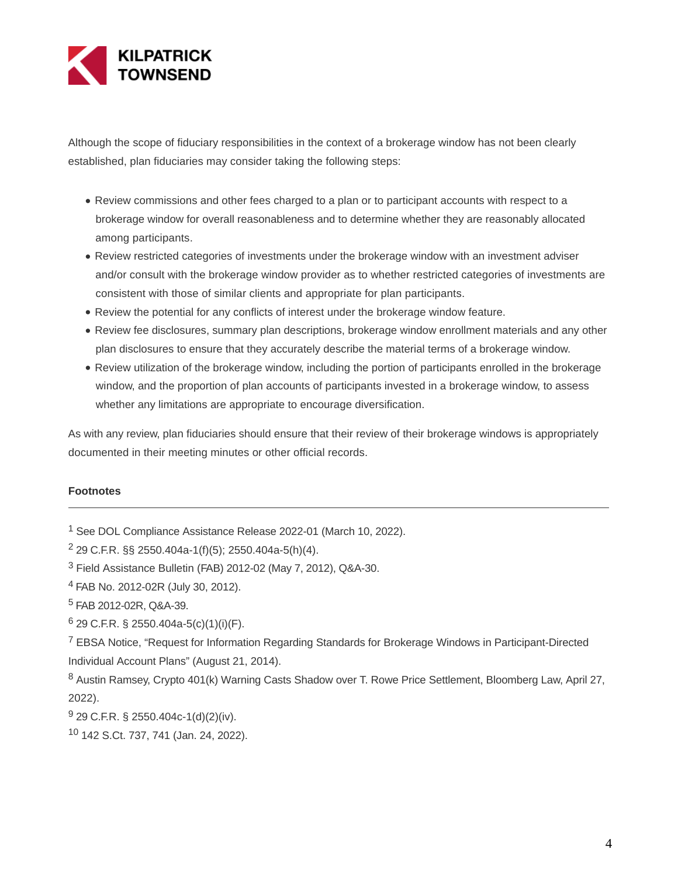

Although the scope of fiduciary responsibilities in the context of a brokerage window has not been clearly established, plan fiduciaries may consider taking the following steps:

- Review commissions and other fees charged to a plan or to participant accounts with respect to a brokerage window for overall reasonableness and to determine whether they are reasonably allocated among participants.
- Review restricted categories of investments under the brokerage window with an investment adviser and/or consult with the brokerage window provider as to whether restricted categories of investments are consistent with those of similar clients and appropriate for plan participants.
- Review the potential for any conflicts of interest under the brokerage window feature.
- Review fee disclosures, summary plan descriptions, brokerage window enrollment materials and any other plan disclosures to ensure that they accurately describe the material terms of a brokerage window.
- Review utilization of the brokerage window, including the portion of participants enrolled in the brokerage window, and the proportion of plan accounts of participants invested in a brokerage window, to assess whether any limitations are appropriate to encourage diversification.

As with any review, plan fiduciaries should ensure that their review of their brokerage windows is appropriately documented in their meeting minutes or other official records.

#### **Footnotes**

<sup>1</sup> See DOL Compliance Assistance Release 2022-01 (March 10, 2022).

- <sup>4</sup> FAB No. 2012-02R (July 30, 2012).
- <sup>5</sup> FAB 2012-02R, Q&A-39.
- $6$  29 C.F.R. § 2550.404a-5(c)(1)(i)(F).

<sup>7</sup> EBSA Notice, "Request for Information Regarding Standards for Brokerage Windows in Participant-Directed Individual Account Plans" (August 21, 2014).

- <sup>9</sup> 29 C.F.R. § 2550.404c-1(d)(2)(iv).
- <sup>10</sup> 142 S.Ct. 737, 741 (Jan. 24, 2022).

<sup>2</sup> 29 C.F.R. §§ 2550.404a-1(f)(5); 2550.404a-5(h)(4).

<sup>3</sup> Field Assistance Bulletin (FAB) 2012-02 (May 7, 2012), Q&A-30.

<sup>8</sup> Austin Ramsey, Crypto 401(k) Warning Casts Shadow over T. Rowe Price Settlement, Bloomberg Law, April 27, 2022).